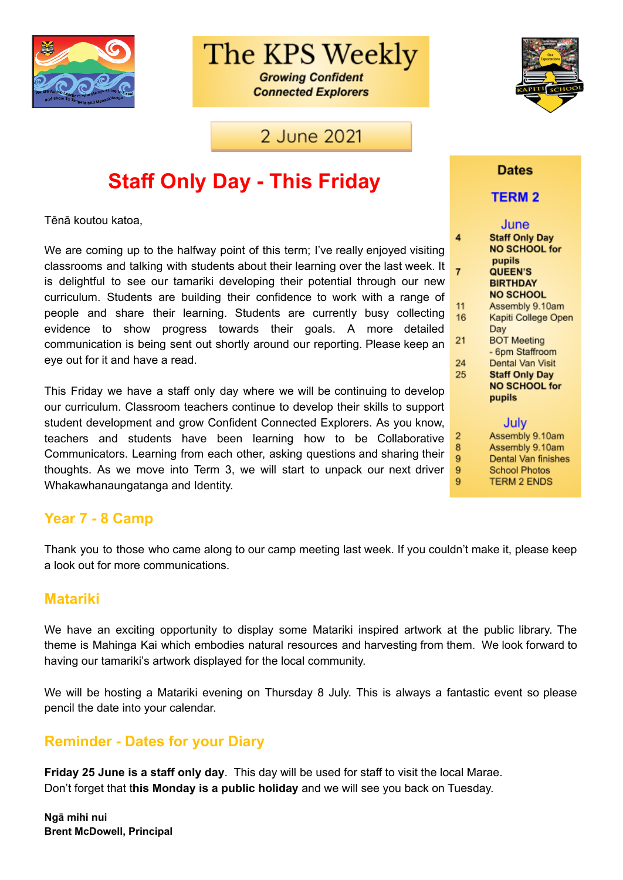

# The KPS Weekly

**Growing Confident Connected Explorers** 

### 2 June 2021

# **Staff Only Day - This Friday**

Tēnā koutou katoa,

We are coming up to the halfway point of this term; I've really enjoyed visiting classrooms and talking with students about their learning over the last week. It is delightful to see our tamariki developing their potential through our new curriculum. Students are building their confidence to work with a range of people and share their learning. Students are currently busy collecting evidence to show progress towards their goals. A more detailed communication is being sent out shortly around our reporting. Please keep an eye out for it and have a read.

This Friday we have a staff only day where we will be continuing to develop our curriculum. Classroom teachers continue to develop their skills to support student development and grow Confident Connected Explorers. As you know, teachers and students have been learning how to be Collaborative Communicators. Learning from each other, asking questions and sharing their thoughts. As we move into Term 3, we will start to unpack our next driver Whakawhanaungatanga and Identity.

#### **Year 7 - 8 Camp**

Thank you to those who came along to our camp meeting last week. If you couldn't make it, please keep a look out for more communications.

#### **Matariki**

We have an exciting opportunity to display some Matariki inspired artwork at the public library. The theme is Mahinga Kai which embodies natural resources and harvesting from them. We look forward to having our tamariki's artwork displayed for the local community.

We will be hosting a Matariki evening on Thursday 8 July. This is always a fantastic event so please pencil the date into your calendar.

#### **Reminder - Dates for your Diary**

**Friday 25 June is a staff only day**. This day will be used for staff to visit the local Marae. Don't forget that t**his Monday is a public holiday** and we will see you back on Tuesday.



#### **Dates**

#### **TERM2**

|    | June                  |
|----|-----------------------|
| 4  | <b>Staff Only Day</b> |
|    | <b>NO SCHOOL for</b>  |
|    | pupils                |
| 7  | <b>QUEEN'S</b>        |
|    | <b>BIRTHDAY</b>       |
|    | <b>NO SCHOOL</b>      |
| 11 | Assembly 9.10am       |
| 16 | Kapiti College Open   |
|    | Day                   |
| 21 | <b>BOT Meeting</b>    |
|    | - 6pm Staffroom       |
| 24 | Dental Van Visit      |
| 25 | <b>Staff Only Day</b> |
|    | <b>NO SCHOOL for</b>  |
|    | pupils                |
|    |                       |
|    |                       |
|    | July                  |
| 2  | Assembly 9.10am       |
| 8  | Assembly 9.10am       |
| 9  | Dental Van finishes   |
| 9  | <b>School Photos</b>  |
| 9  | <b>TERM 2 ENDS</b>    |
|    |                       |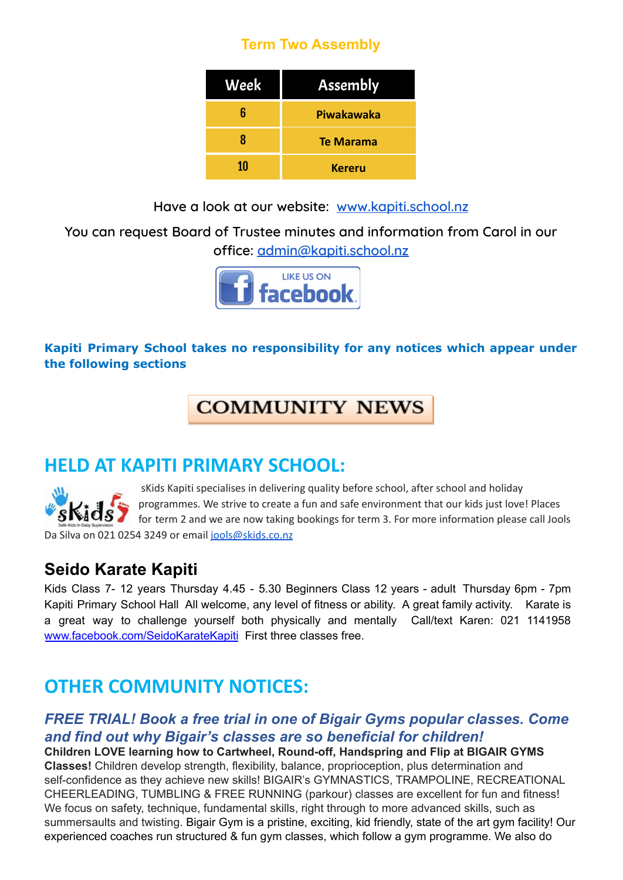### **Term Two Assembly**

| Week | <b>Assembly</b>  |
|------|------------------|
| հ    | Piwakawaka       |
| 8    | <b>Te Marama</b> |
| 10   | <b>Kereru</b>    |

**Have a look at our website: [www.kapiti.school.nz](http://www.kapiti.school.nz)**

**You can request Board of Trustee minutes and information from Carol in our office: [admin@kapiti.school.nz](mailto:admin@kapiti.school.mz)**



#### **Kapiti Primary School takes no responsibility for any notices which appear under the following sections**

## **COMMUNITY NEWS**

### **HELD AT KAPITI PRIMARY SCHOOL:**

sKids Kapiti specialises in delivering quality before school, after school and holiday programmes. We strive to create a fun and safe environment that our kids just love! Places for term 2 and we are now taking bookings for term 3. For more information please call Jools Da Silva on 021 0254 3249 or email jools@skids.co.nz

### **Seido Karate Kapiti**

Kids Class 7- 12 years Thursday 4.45 - 5.30 Beginners Class 12 years - adult Thursday 6pm - 7pm Kapiti Primary School Hall All welcome, any level of fitness or ability. A great family activity. Karate is a great way to challenge yourself both physically and mentally Call/text Karen: 021 1141958 [www.facebook.com/SeidoKarateKapiti](http://www.facebook.com/SeidoKarateKapiti) First three classes free.

## **OTHER COMMUNITY NOTICES:**

### *FREE TRIAL! Book a free trial in one of Bigair Gyms popular classes. Come and find out why Bigair's classes are so beneficial for children!*

**Children LOVE learning how to Cartwheel, Round-off, Handspring and Flip at BIGAIR GYMS Classes!** Children develop strength, flexibility, balance, proprioception, plus determination and self-confidence as they achieve new skills! BIGAIR's GYMNASTICS, TRAMPOLINE, RECREATIONAL CHEERLEADING, TUMBLING & FREE RUNNING (parkour) classes are excellent for fun and fitness! We focus on safety, technique, fundamental skills, right through to more advanced skills, such as summersaults and twisting. Bigair Gym is a pristine, exciting, kid friendly, state of the art gym facility! Our experienced coaches run structured & fun gym classes, which follow a gym programme. We also do